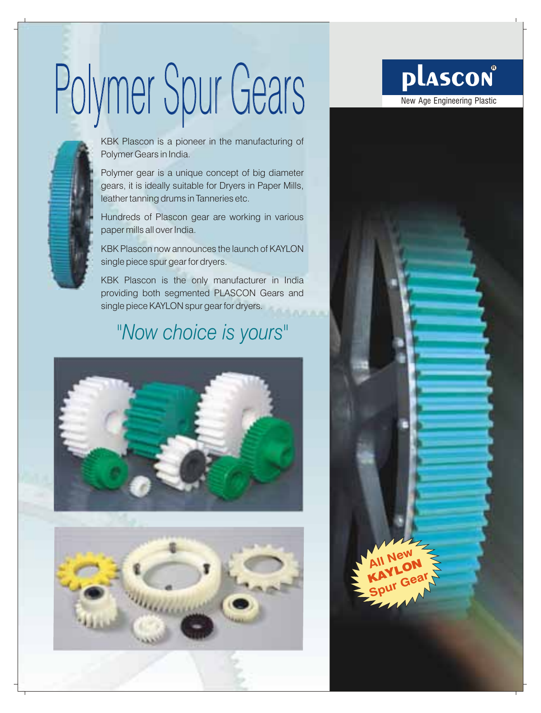# Polymer Spur Gears Des Delascon



KBK Plascon is a pioneer in the manufacturing of Polymer Gears in India.

Polymer gear is a unique concept of big diameter gears, it is ideally suitable for Dryers in Paper Mills, leather tanning drums in Tanneries etc.

Hundreds of Plascon gear are working in various paper mills all over India.

KBK Plascon now announces the launch of KAYLON single piece spur gear for dryers.

KBK Plascon is the only manufacturer in India providing both segmented PLASCON Gears and single piece KAYLON spur gear for dryers.

### *"Now choice is yours"*





## **plascon**®

**All New**  KAYLON **Spur Gear**